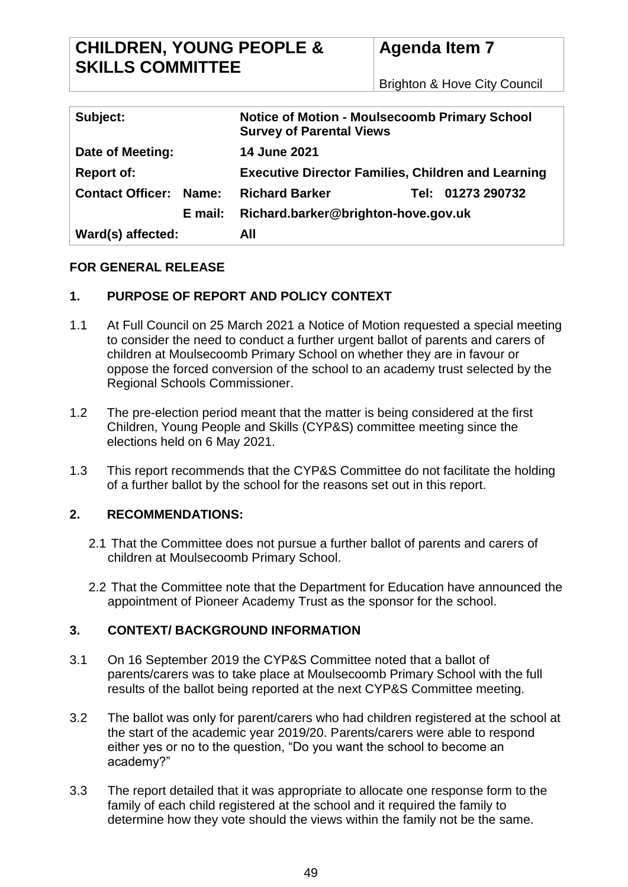# **CHILDREN, YOUNG PEOPLE & SKILLS COMMITTEE**

Brighton & Hove City Council

| Subject:                         | <b>Notice of Motion - Moulsecoomb Primary School</b><br><b>Survey of Parental Views</b> |
|----------------------------------|-----------------------------------------------------------------------------------------|
| Date of Meeting:                 | <b>14 June 2021</b>                                                                     |
| <b>Report of:</b>                | <b>Executive Director Families, Children and Learning</b>                               |
| <b>Contact Officer:</b><br>Name: | <b>Richard Barker</b><br>Tel: 01273 290732                                              |
| E mail:                          | Richard.barker@brighton-hove.gov.uk                                                     |
| Ward(s) affected:                | All                                                                                     |

### **FOR GENERAL RELEASE**

## **1. PURPOSE OF REPORT AND POLICY CONTEXT**

- 1.1 At Full Council on 25 March 2021 a Notice of Motion requested a special meeting to consider the need to conduct a further urgent ballot of parents and carers of children at Moulsecoomb Primary School on whether they are in favour or oppose the forced conversion of the school to an academy trust selected by the Regional Schools Commissioner.
- 1.2 The pre-election period meant that the matter is being considered at the first Children, Young People and Skills (CYP&S) committee meeting since the elections held on 6 May 2021.
- 1.3 This report recommends that the CYP&S Committee do not facilitate the holding of a further ballot by the school for the reasons set out in this report.

### **2. RECOMMENDATIONS:**

- 2.1 That the Committee does not pursue a further ballot of parents and carers of children at Moulsecoomb Primary School.
- 2.2 That the Committee note that the Department for Education have announced the appointment of Pioneer Academy Trust as the sponsor for the school.

## **3. CONTEXT/ BACKGROUND INFORMATION**

- 3.1 On 16 September 2019 the CYP&S Committee noted that a ballot of parents/carers was to take place at Moulsecoomb Primary School with the full results of the ballot being reported at the next CYP&S Committee meeting.
- 3.2 The ballot was only for parent/carers who had children registered at the school at the start of the academic year 2019/20. Parents/carers were able to respond either yes or no to the question, "Do you want the school to become an academy?"
- 3.3 The report detailed that it was appropriate to allocate one response form to the family of each child registered at the school and it required the family to determine how they vote should the views within the family not be the same.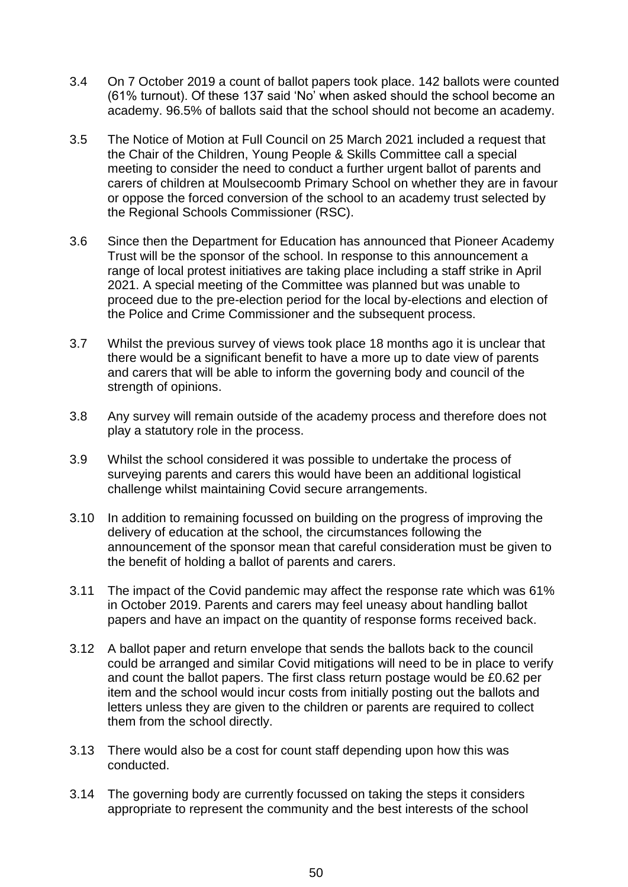- 3.4 On 7 October 2019 a count of ballot papers took place. 142 ballots were counted (61% turnout). Of these 137 said 'No' when asked should the school become an academy. 96.5% of ballots said that the school should not become an academy.
- 3.5 The Notice of Motion at Full Council on 25 March 2021 included a request that the Chair of the Children, Young People & Skills Committee call a special meeting to consider the need to conduct a further urgent ballot of parents and carers of children at Moulsecoomb Primary School on whether they are in favour or oppose the forced conversion of the school to an academy trust selected by the Regional Schools Commissioner (RSC).
- 3.6 Since then the Department for Education has announced that Pioneer Academy Trust will be the sponsor of the school. In response to this announcement a range of local protest initiatives are taking place including a staff strike in April 2021. A special meeting of the Committee was planned but was unable to proceed due to the pre-election period for the local by-elections and election of the Police and Crime Commissioner and the subsequent process.
- 3.7 Whilst the previous survey of views took place 18 months ago it is unclear that there would be a significant benefit to have a more up to date view of parents and carers that will be able to inform the governing body and council of the strength of opinions.
- 3.8 Any survey will remain outside of the academy process and therefore does not play a statutory role in the process.
- 3.9 Whilst the school considered it was possible to undertake the process of surveying parents and carers this would have been an additional logistical challenge whilst maintaining Covid secure arrangements.
- 3.10 In addition to remaining focussed on building on the progress of improving the delivery of education at the school, the circumstances following the announcement of the sponsor mean that careful consideration must be given to the benefit of holding a ballot of parents and carers.
- 3.11 The impact of the Covid pandemic may affect the response rate which was 61% in October 2019. Parents and carers may feel uneasy about handling ballot papers and have an impact on the quantity of response forms received back.
- 3.12 A ballot paper and return envelope that sends the ballots back to the council could be arranged and similar Covid mitigations will need to be in place to verify and count the ballot papers. The first class return postage would be £0.62 per item and the school would incur costs from initially posting out the ballots and letters unless they are given to the children or parents are required to collect them from the school directly.
- 3.13 There would also be a cost for count staff depending upon how this was conducted.
- 3.14 The governing body are currently focussed on taking the steps it considers appropriate to represent the community and the best interests of the school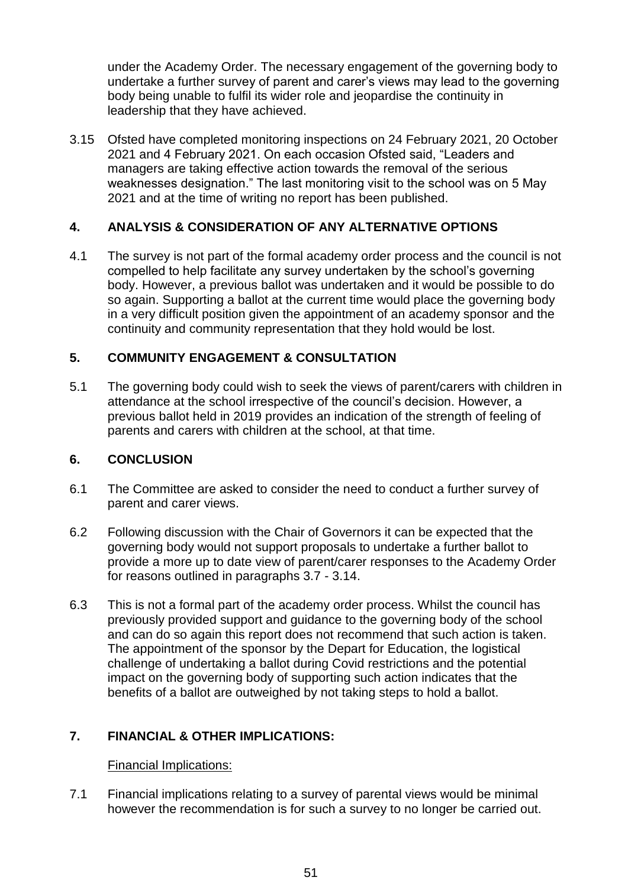under the Academy Order. The necessary engagement of the governing body to undertake a further survey of parent and carer's views may lead to the governing body being unable to fulfil its wider role and jeopardise the continuity in leadership that they have achieved.

3.15 Ofsted have completed monitoring inspections on 24 February 2021, 20 October 2021 and 4 February 2021. On each occasion Ofsted said, "Leaders and managers are taking effective action towards the removal of the serious weaknesses designation." The last monitoring visit to the school was on 5 May 2021 and at the time of writing no report has been published.

### **4. ANALYSIS & CONSIDERATION OF ANY ALTERNATIVE OPTIONS**

4.1 The survey is not part of the formal academy order process and the council is not compelled to help facilitate any survey undertaken by the school's governing body. However, a previous ballot was undertaken and it would be possible to do so again. Supporting a ballot at the current time would place the governing body in a very difficult position given the appointment of an academy sponsor and the continuity and community representation that they hold would be lost.

### **5. COMMUNITY ENGAGEMENT & CONSULTATION**

5.1 The governing body could wish to seek the views of parent/carers with children in attendance at the school irrespective of the council's decision. However, a previous ballot held in 2019 provides an indication of the strength of feeling of parents and carers with children at the school, at that time.

#### **6. CONCLUSION**

- 6.1 The Committee are asked to consider the need to conduct a further survey of parent and carer views.
- 6.2 Following discussion with the Chair of Governors it can be expected that the governing body would not support proposals to undertake a further ballot to provide a more up to date view of parent/carer responses to the Academy Order for reasons outlined in paragraphs 3.7 - 3.14.
- 6.3 This is not a formal part of the academy order process. Whilst the council has previously provided support and guidance to the governing body of the school and can do so again this report does not recommend that such action is taken. The appointment of the sponsor by the Depart for Education, the logistical challenge of undertaking a ballot during Covid restrictions and the potential impact on the governing body of supporting such action indicates that the benefits of a ballot are outweighed by not taking steps to hold a ballot.

### **7. FINANCIAL & OTHER IMPLICATIONS:**

### Financial Implications:

7.1 Financial implications relating to a survey of parental views would be minimal however the recommendation is for such a survey to no longer be carried out.